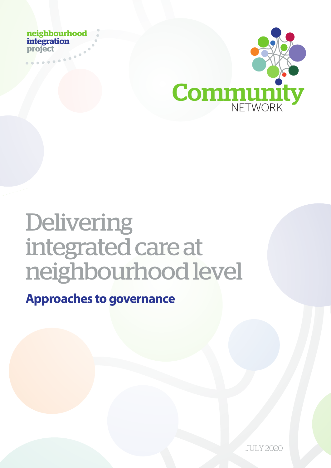**neighbourhood integration project**



# netehbourhood<br>
Integration<br>
Meridian<br>
NET<br>
Delivering<br>
integrated care at<br>
neighbourhood level<br>
Approaches to governance Delivering integrated care at neighbourhood level

**Approaches to governance** 

NETWORK COMMUNITY SOLO JULY 2020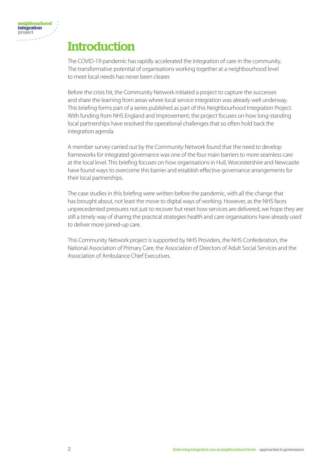# **Introduction**

The COVID-19 pandemic has rapidly accelerated the integration of care in the community. The transformative potential of organisations working together at a neighbourhood level to meet local needs has never been clearer.

Before the crisis hit, the Community Network initiated a project to capture the successes and share the learning from areas where local service integration was already well underway. This briefing forms part of a series published as part of this Neighbourhood Integration Project. With funding from NHS England and Improvement, the project focuses on how long-standing local partnerships have resolved the operational challenges that so often hold back the integration agenda.

A member survey carried out by the Community Network found that the need to develop frameworks for integrated governance was one of the four main barriers to more seamless care at the local level. This briefing focuses on how organisations in Hull, Worcestershire and Newcastle have found ways to overcome this barrier and establish effective governance arrangements for their local partnerships.

The case studies in this briefing were written before the pandemic, with all the change that has brought about, not least the move to digital ways of working. However, as the NHS faces unprecedented pressures not just to recover but reset how services are delivered, we hope they are still a timely way of sharing the practical strategies health and care organisations have already used to deliver more joined-up care.

This Community Network project is supported by NHS Providers, the NHS Confederation, the National Association of Primary Care, the Association of Directors of Adult Social Services and the Association of Ambulance Chief Executives.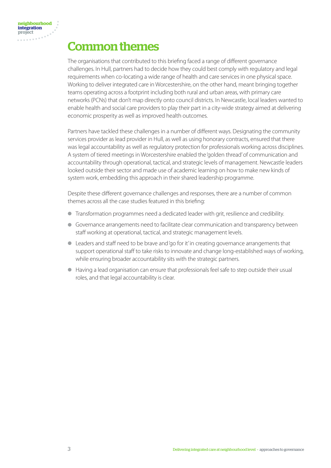## Common themes

The organisations that contributed to this briefing faced a range of different governance challenges. In Hull, partners had to decide how they could best comply with regulatory and legal requirements when co-locating a wide range of health and care services in one physical space. Working to deliver integrated care in Worcestershire, on the other hand, meant bringing together teams operating across a footprint including both rural and urban areas, with primary care networks (PCNs) that don't map directly onto council districts. In Newcastle, local leaders wanted to enable health and social care providers to play their part in a city-wide strategy aimed at delivering economic prosperity as well as improved health outcomes.

Partners have tackled these challenges in a number of different ways. Designating the community services provider as lead provider in Hull, as well as using honorary contracts, ensured that there was legal accountability as well as regulatory protection for professionals working across disciplines. A system of tiered meetings in Worcestershire enabled the 'golden thread' of communication and accountability through operational, tactical, and strategic levels of management. Newcastle leaders looked outside their sector and made use of academic learning on how to make new kinds of system work, embedding this approach in their shared leadership programme.

Despite these different governance challenges and responses, there are a number of common themes across all the case studies featured in this briefing:

- Transformation programmes need a dedicated leader with grit, resilience and credibility.
- Governance arrangements need to facilitate clear communication and transparency between staff working at operational, tactical, and strategic management levels.
- Leaders and staff need to be brave and 'go for it' in creating governance arrangements that support operational staff to take risks to innovate and change long-established ways of working, while ensuring broader accountability sits with the strategic partners.
- Having a lead organisation can ensure that professionals feel safe to step outside their usual roles, and that legal accountability is clear.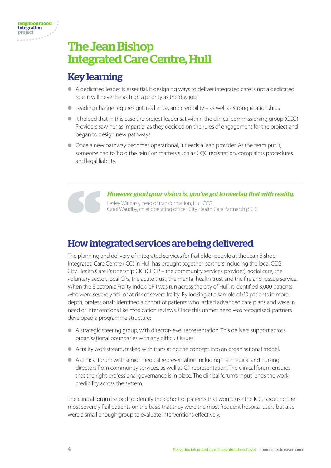# The Jean Bishop Integrated Care Centre, Hull

## Key learning

- A dedicated leader is essential. If designing ways to deliver integrated care is not a dedicated role, it will never be as high a priority as the 'day job.'
- Leading change requires grit, resilience, and credibility as well as strong relationships.
- It helped that in this case the project leader sat within the clinical commissioning group (CCG). Providers saw her as impartial as they decided on the rules of engagement for the project and began to design new pathways.
- Once a new pathway becomes operational, it needs a lead provider. As the team put it, someone had to 'hold the reins' on matters such as CQC registration, complaints procedures and legal liability.

*However good your vision is, you've got to overlay that with reality.*  Lesley Windass, head of transformation, Hull CCG Carol Waudby, chief operating officer, City Health Care Partnership CIC

## How integrated services are being delivered

The planning and delivery of integrated services for frail older people at the Jean Bishop Integrated Care Centre (ICC) in Hull has brought together partners including the local CCG, City Health Care Partnership CIC (CHCP – the community services provider), social care, the voluntary sector, local GPs, the acute trust, the mental health trust and the fire and rescue service. When the Electronic Frailty Index (eFI) was run across the city of Hull, it identified 3,000 patients who were severely frail or at risk of severe frailty. By looking at a sample of 60 patients in more depth, professionals identified a cohort of patients who lacked advanced care plans and were in need of interventions like medication reviews. Once this unmet need was recognised, partners developed a programme structure:

- A strategic steering group, with director-level representation. This delivers support across organisational boundaries with any difficult issues.
- A frailty workstream, tasked with translating the concept into an organisational model.
- A clinical forum with senior medical representation including the medical and nursing directors from community services, as well as GP representation. The clinical forum ensures that the right professional governance is in place. The clinical forum's input lends the work credibility across the system.

The clinical forum helped to identify the cohort of patients that would use the ICC, targeting the most severely frail patients on the basis that they were the most frequent hospital users but also were a small enough group to evaluate interventions effectively.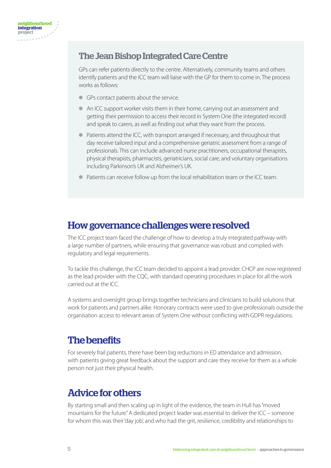#### The Jean Bishop Integrated Care Centre

GPs can refer patients directly to the centre. Alternatively, community teams and others identify patients and the ICC team will liaise with the GP for them to come in. The process works as follows:

- GPs contact patients about the service.
- An ICC support worker visits them in their home, carrying out an assessment and getting their permission to access their record in System One (the integrated record) and speak to carers, as well as finding out what they want from the process.
- Patients attend the ICC, with transport arranged if necessary, and throughout that day receive tailored input and a comprehensive geriatric assessment from a range of professionals. This can include advanced nurse practitioners, occupational therapists, physical therapists, pharmacists, geriatricians, social care, and voluntary organisations including Parkinson's UK and Alzheimer's UK.
- Patients can receive follow up from the local rehabilitation team or the ICC team.

#### How governance challenges were resolved

The ICC project team faced the challenge of how to develop a truly integrated pathway with a large number of partners, while ensuring that governance was robust and complied with regulatory and legal requirements.

To tackle this challenge, the ICC team decided to appoint a lead provider. CHCP are now registered as the lead provider with the CQC, with standard operating procedures in place for all the work carried out at the ICC.

A systems and oversight group brings together technicians and clinicians to build solutions that work for patients and partners alike. Honorary contracts were used to give professionals outside the organisation access to relevant areas of System One without conflicting with GDPR regulations.

#### The benefits

For severely frail patients, there have been big reductions in ED attendance and admission, with patients giving great feedback about the support and care they receive for them as a whole person not just their physical health.

## Advice for others

By starting small and then scaling up in light of the evidence, the team in Hull has "moved mountains for the future." A dedicated project leader was essential to deliver the ICC – someone for whom this was their 'day job', and who had the grit, resilience, credibility and relationships to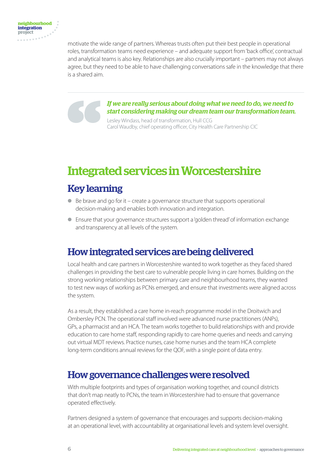motivate the wide range of partners. Whereas trusts often put their best people in operational roles, transformation teams need experience – and adequate support from 'back office', contractual and analytical teams is also key. Relationships are also crucially important – partners may not always agree, but they need to be able to have challenging conversations safe in the knowledge that there is a shared aim.

> *If we are really serious about doing what we need to do, we need to start considering making our dream team our transformation team.*

Lesley Windass, head of transformation, Hull CCG Carol Waudby, chief operating officer, City Health Care Partnership CIC

# Integrated services in Worcestershire

## Key learning

- $\bullet$  Be brave and go for it create a governance structure that supports operational decision-making and enables both innovation and integration.
- Ensure that your governance structures support a 'golden thread' of information exchange and transparency at all levels of the system.

## How integrated services are being delivered

Local health and care partners in Worcestershire wanted to work together as they faced shared challenges in providing the best care to vulnerable people living in care homes. Building on the strong working relationships between primary care and neighbourhood teams, they wanted to test new ways of working as PCNs emerged, and ensure that investments were aligned across the system.

As a result, they established a care home in-reach programme model in the Droitwich and Ombersley PCN. The operational staff involved were advanced nurse practitioners (ANPs), GPs, a pharmacist and an HCA. The team works together to build relationships with and provide education to care home staff, responding rapidly to care home queries and needs and carrying out virtual MDT reviews. Practice nurses, case home nurses and the team HCA complete long-term conditions annual reviews for the QOF, with a single point of data entry.

#### How governance challenges were resolved

With multiple footprints and types of organisation working together, and council districts that don't map neatly to PCNs, the team in Worcestershire had to ensure that governance operated effectively.

Partners designed a system of governance that encourages and supports decision-making at an operational level, with accountability at organisational levels and system level oversight.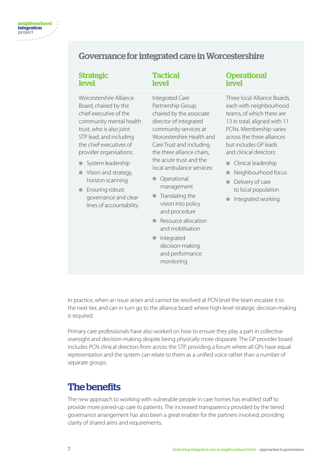#### Governance for integrated care in Worcestershire

**Tactical** level

#### Strategic level

Worcestershire Alliance Board, chaired by the chief executive of the community mental health trust, who is also joint STP lead, and including the chief executives of provider organisations:

- System leadership
- Vision and strategy, horizon scanning
- Ensuring robust governance and clear lines of accountability

Integrated Care Partnership Group, chaired by the associate director of integrated community services at Worcestershire Health and Care Trust and including the three alliance chairs, the acute trust and the local ambulance services:

- Operational management
- Translating the vision into policy and procedure
- Resource allocation and mobilisation
- Integrated decision-making and performance monitoring

#### **Operational** level

Three local Alliance Boards, each with neighbourhood teams, of which there are 13 in total, aligned with 11 PCNs. Membership varies across the three alliances but includes GP leads and clinical directors:

- Clinical leadership
- Neighbourhood focus
- Delivery of care to local population
- Integrated working

In practice, when an issue arises and cannot be resolved at PCN level the team escalate it to the next tier, and can in turn go to the alliance board where high-level strategic decision-making is required.

Primary care professionals have also worked on how to ensure they play a part in collective oversight and decision-making despite being physically more disparate. The GP provider board includes PCN clinical directors from across the STP, providing a forum where all GPs have equal representation and the system can relate to them as a unified voice rather than a number of separate groups.

## The benefits

The new approach to working with vulnerable people in care homes has enabled staff to provide more joined-up care to patients. The increased transparency provided by the tiered governance arrangement has also been a great enabler for the partners involved, providing clarity of shared aims and requirements.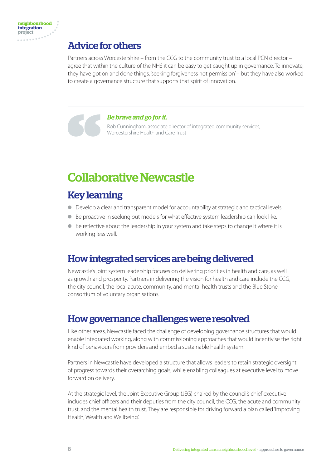## Advice for others

Partners across Worcestershire – from the CCG to the community trust to a local PCN director – agree that within the culture of the NHS it can be easy to get caught up in governance. To innovate, they have got on and done things, 'seeking forgiveness not permission' – but they have also worked to create a governance structure that supports that spirit of innovation.

#### *Be brave and go for it.*

Rob Cunningham, associate director of integrated community services, Worcestershire Health and Care Trust

# Collaborative Newcastle

## Key learning

- Develop a clear and transparent model for accountability at strategic and tactical levels.
- Be proactive in seeking out models for what effective system leadership can look like.
- Be reflective about the leadership in your system and take steps to change it where it is working less well.

#### How integrated services are being delivered

Newcastle's joint system leadership focuses on delivering priorities in health and care, as well as growth and prosperity. Partners in delivering the vision for health and care include the CCG, the city council, the local acute, community, and mental health trusts and the Blue Stone consortium of voluntary organisations.

#### How governance challenges were resolved

Like other areas, Newcastle faced the challenge of developing governance structures that would enable integrated working, along with commissioning approaches that would incentivise the right kind of behaviours from providers and embed a sustainable health system.

Partners in Newcastle have developed a structure that allows leaders to retain strategic oversight of progress towards their overarching goals, while enabling colleagues at executive level to move forward on delivery.

At the strategic level, the Joint Executive Group (JEG) chaired by the council's chief executive includes chief officers and their deputies from the city council, the CCG, the acute and community trust, and the mental health trust. They are responsible for driving forward a plan called 'Improving Health, Wealth and Wellbeing.'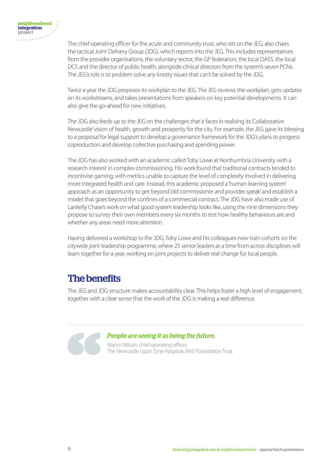The chief operating officer for the acute and community trust, who sits on the JEG, also chairs the tactical Joint Delivery Group (JDG), which reports into the JEG. This includes representatives from the provider organisations, the voluntary sector, the GP federation, the local DASS, the local DCS and the director of public health, alongside clinical directors from the system's seven PCNs. The JEG's role is to problem solve any knotty issues that can't be solved by the JDG.

Twice a year the JDG proposes its workplan to the JEG. The JEG reviews the workplan, gets updates on its workstreams, and takes presentations from speakers on key potential developments. It can also give the go-ahead for new initiatives.

The JDG also feeds up to the JEG on the challenges that it faces in realising its 'Collaborative Newcastle' vision of health, growth and prosperity for the city. For example, the JEG gave its blessing to a proposal for legal support to develop a governance framework for the JDG's plans to progress coproduction and develop collective purchasing and spending power.

The JDG has also worked with an academic called Toby Lowe at Northumbria University with a research interest in complex commissioning. His work found that traditional contracts tended to incentivise gaming, with metrics unable to capture the level of complexity involved in delivering more integrated health and care. Instead, this academic proposed a 'human learning system' approach as an opportunity to get beyond 'old commissioner and provider speak' and establish a model that goes beyond the confines of a commercial contract. The JDG have also made use of Lankelly Chase's work on what good system leadership looks like, using the nine dimensions they propose to survey their own members every six months to test how healthy behaviours are and whether any areas need more attention.

Having delivered a workshop to the JDG, Toby Lowe and his colleagues now train cohorts on the citywide joint leadership programme, where 25 senior leaders at a time from across disciplines will learn together for a year, working on joint projects to deliver real change for local people.

## The benefits

The JEG and JDG structure makes accountability clear. This helps foster a high level of engagement, together with a clear sense that the work of the JDG is making a real difference.

#### *People are seeing it as being the future.*

Martin Wilson, chief operating officer, The Newcastle Upon Tyne Hospitals NHS Foundation Trust